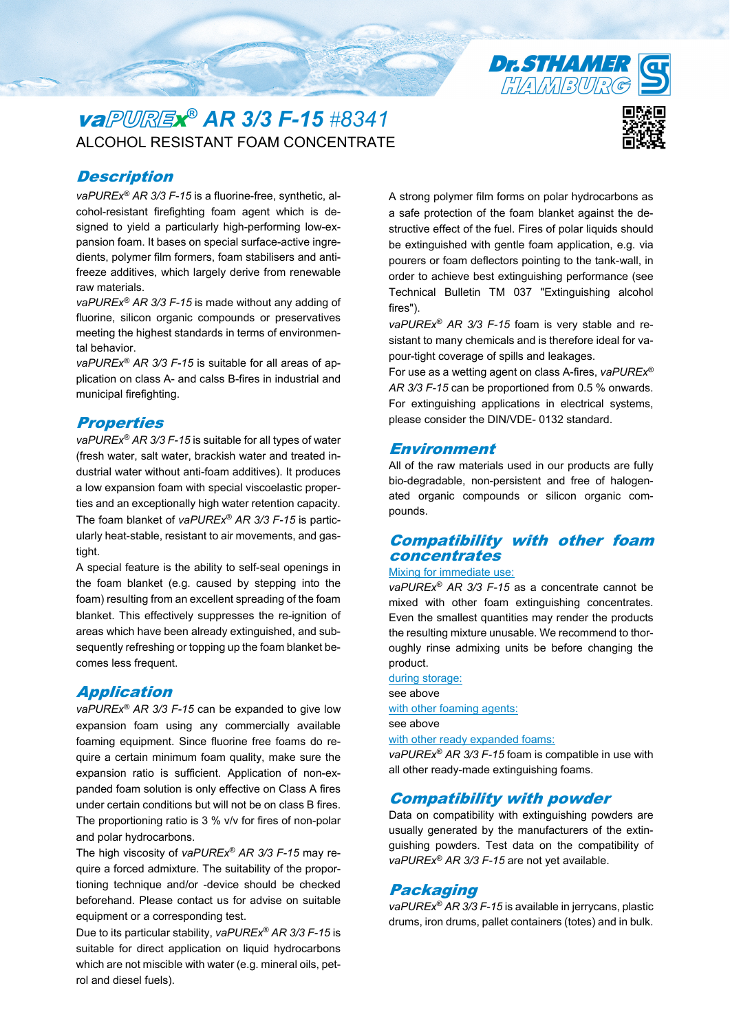# va <sup>x</sup>*® AR 3/3 F-15 #8341* ALCOHOL RESISTANT FOAM CONCENTRATE

### **Description**

*vaPUREx® AR 3/3 F-15* is a fluorine-free, synthetic, alcohol-resistant firefighting foam agent which is designed to yield a particularly high-performing low-expansion foam. It bases on special surface-active ingredients, polymer film formers, foam stabilisers and antifreeze additives, which largely derive from renewable raw materials.

*vaPUREx® AR 3/3 F-15* is made without any adding of fluorine, silicon organic compounds or preservatives meeting the highest standards in terms of environmental behavior.

*vaPUREx® AR 3/3 F-15* is suitable for all areas of application on class A- and calss B-fires in industrial and municipal firefighting.

#### **Properties**

*vaPUREx® AR 3/3 F-15* is suitable for all types of water (fresh water, salt water, brackish water and treated industrial water without anti-foam additives). It produces a low expansion foam with special viscoelastic properties and an exceptionally high water retention capacity. The foam blanket of *vaPUREx® AR 3/3 F-15* is particularly heat-stable, resistant to air movements, and gastight.

A special feature is the ability to self-seal openings in the foam blanket (e.g. caused by stepping into the foam) resulting from an excellent spreading of the foam blanket. This effectively suppresses the re-ignition of areas which have been already extinguished, and subsequently refreshing or topping up the foam blanket becomes less frequent.

#### Application

*vaPUREx® AR 3/3 F-15* can be expanded to give low expansion foam using any commercially available foaming equipment. Since fluorine free foams do require a certain minimum foam quality, make sure the expansion ratio is sufficient. Application of non-expanded foam solution is only effective on Class A fires under certain conditions but will not be on class B fires. The proportioning ratio is 3 % v/v for fires of non-polar and polar hydrocarbons.

The high viscosity of *vaPUREx® AR 3/3 F-15* may require a forced admixture. The suitability of the proportioning technique and/or -device should be checked beforehand. Please contact us for advise on suitable equipment or a corresponding test.

Due to its particular stability, *vaPUREx® AR 3/3 F-15* is suitable for direct application on liquid hydrocarbons which are not miscible with water (e.g. mineral oils, petrol and diesel fuels).

A strong polymer film forms on polar hydrocarbons as a safe protection of the foam blanket against the destructive effect of the fuel. Fires of polar liquids should be extinguished with gentle foam application, e.g. via pourers or foam deflectors pointing to the tank-wall, in order to achieve best extinguishing performance (see Technical Bulletin TM 037 "Extinguishing alcohol fires").

*vaPUREx® AR 3/3 F-15* foam is very stable and resistant to many chemicals and is therefore ideal for vapour-tight coverage of spills and leakages.

For use as a wetting agent on class A-fires, *vaPUREx® AR 3/3 F-15* can be proportioned from 0.5 % onwards. For extinguishing applications in electrical systems, please consider the DIN/VDE- 0132 standard.

#### **Environment**

All of the raw materials used in our products are fully bio-degradable, non-persistent and free of halogenated organic compounds or silicon organic compounds.

#### Compatibility with other foam concentrates

#### Mixing for immediate use:

*vaPUREx® AR 3/3 F-15* as a concentrate cannot be mixed with other foam extinguishing concentrates. Even the smallest quantities may render the products the resulting mixture unusable. We recommend to thoroughly rinse admixing units be before changing the product.

during storage: see above with other foaming agents: see above with other ready expanded foams:

*vaPUREx® AR 3/3 F-15* foam is compatible in use with all other ready-made extinguishing foams.

#### Compatibility with powder

Data on compatibility with extinguishing powders are usually generated by the manufacturers of the extinguishing powders. Test data on the compatibility of *vaPUREx® AR 3/3 F-15* are not yet available.

#### Packaging

*vaPUREx® AR 3/3 F-15* is available in jerrycans, plastic drums, iron drums, pallet containers (totes) and in bulk.